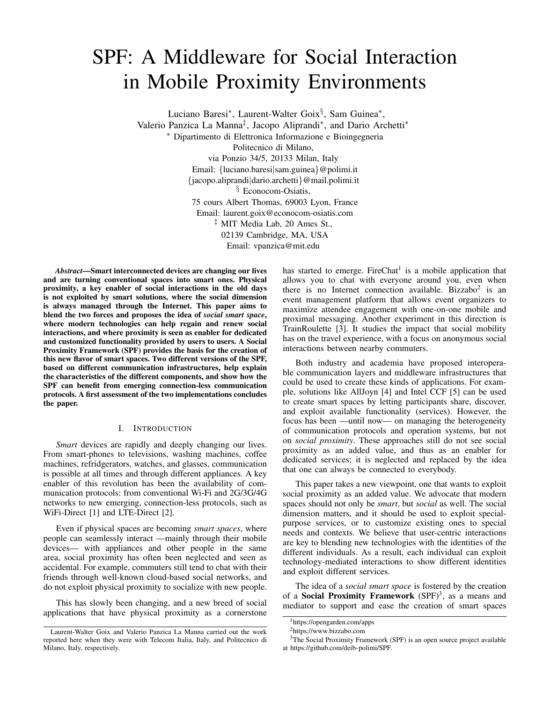# SPF: A Middleware for Social Interaction in Mobile Proximity Environments

Luciano Baresi<sup>∗</sup> , Laurent-Walter Goix§ , Sam Guinea<sup>∗</sup> , Valerio Panzica La Manna<sup>‡</sup>, Jacopo Aliprandi<sup>\*</sup>, and Dario Archetti<sup>\*</sup> <sup>∗</sup> Dipartimento di Elettronica Informazione e Bioingegneria Politecnico di Milano, via Ponzio 34/5, 20133 Milan, Italy Email: {luciano.baresi|sam.guinea}@polimi.it {jacopo.aliprandi|dario.archetti}@mail.polimi.it § Econocom-Osiatis, 75 cours Albert Thomas, 69003 Lyon, France Email: laurent.goix@econocom-osiatis.com ‡ MIT Media Lab, 20 Ames St., 02139 Cambridge, MA, USA Email: vpanzica@mit.edu

*Abstract*—Smart interconnected devices are changing our lives and are turning conventional spaces into smart ones. Physical proximity, a key enabler of social interactions in the old days is not exploited by smart solutions, where the social dimension is always managed through the Internet. This paper aims to blend the two forces and proposes the idea of *social smart space*, where modern technologies can help regain and renew social interactions, and where proximity is seen as enabler for dedicated and customized functionality provided by users to users. A Social Proximity Framework (SPF) provides the basis for the creation of this new flavor of smart spaces. Two different versions of the SPF, based on different communication infrastructures, help explain the characteristics of the different components, and show how the SPF can benefit from emerging connection-less communication protocols. A first assessment of the two implementations concludes the paper.

# I. INTRODUCTION

*Smart* devices are rapidly and deeply changing our lives. From smart-phones to televisions, washing machines, coffee machines, refridgerators, watches, and glasses, communication is possible at all times and through different appliances. A key enabler of this revolution has been the availability of communication protocols: from conventional Wi-Fi and 2G/3G/4G networks to new emerging, connection-less protocols, such as WiFi-Direct [1] and LTE-Direct [2].

Even if physical spaces are becoming *smart spaces*, where people can seamlessly interact —mainly through their mobile devices— with appliances and other people in the same area, social proximity has often been neglected and seen as accidental. For example, commuters still tend to chat with their friends through well-known cloud-based social networks, and do not exploit physical proximity to socialize with new people.

This has slowly been changing, and a new breed of social applications that have physical proximity as a cornerstone

has started to emerge. FireChat<sup>1</sup> is a mobile application that allows you to chat with everyone around you, even when there is no Internet connection available. Bizzabo<sup>2</sup> is an event management platform that allows event organizers to maximize attendee engagement with one-on-one mobile and proximal messaging. Another experiment in this direction is TrainRoulette [3]. It studies the impact that social mobility has on the travel experience, with a focus on anonymous social interactions between nearby commuters.

Both industry and academia have proposed interoperable communication layers and middleware infrastructures that could be used to create these kinds of applications. For example, solutions like AllJoyn [4] and Intel CCF [5] can be used to create smart spaces by letting participants share, discover, and exploit available functionality (services). However, the focus has been —until now— on managing the heterogeneity of communication protocols and operation systems, but not on *social proximity*. These approaches still do not see social proximity as an added value, and thus as an enabler for dedicated services; it is neglected and replaced by the idea that one can always be connected to everybody.

This paper takes a new viewpoint, one that wants to exploit social proximity as an added value. We advocate that modern spaces should not only be *smart*, but *social* as well. The social dimension matters, and it should be used to exploit specialpurpose services, or to customize existing ones to special needs and contexts. We believe that user-centric interactions are key to blending new technologies with the identities of the different individuals. As a result, each individual can exploit technology-mediated interactions to show different identities and exploit different services.

The idea of a *social smart space* is fostered by the creation of a Social Proximity Framework (SPF)<sup>3</sup>, as a means and mediator to support and ease the creation of smart spaces

Laurent-Walter Goix and Valerio Panzica La Manna carried out the work reported here when they were with Telecom Italia, Italy, and Politecnico di Milano, Italy, respectively.

<sup>1</sup>https://opengarden.com/apps

<sup>2</sup>https://www.bizzabo.com

<sup>&</sup>lt;sup>3</sup>The Social Proximity Framework (SPF) is an open source project available at https://github.com/deib-polimi/SPF.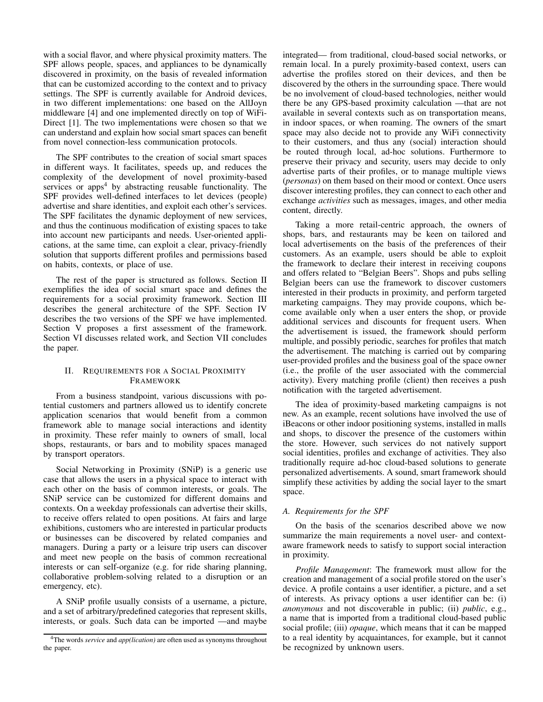with a social flavor, and where physical proximity matters. The SPF allows people, spaces, and appliances to be dynamically discovered in proximity, on the basis of revealed information that can be customized according to the context and to privacy settings. The SPF is currently available for Android devices, in two different implementations: one based on the AllJoyn middleware [4] and one implemented directly on top of WiFi-Direct [1]. The two implementations were chosen so that we can understand and explain how social smart spaces can benefit from novel connection-less communication protocols.

The SPF contributes to the creation of social smart spaces in different ways. It facilitates, speeds up, and reduces the complexity of the development of novel proximity-based services or apps<sup>4</sup> by abstracting reusable functionality. The SPF provides well-defined interfaces to let devices (people) advertise and share identities, and exploit each other's services. The SPF facilitates the dynamic deployment of new services, and thus the continuous modification of existing spaces to take into account new participants and needs. User-oriented applications, at the same time, can exploit a clear, privacy-friendly solution that supports different profiles and permissions based on habits, contexts, or place of use.

The rest of the paper is structured as follows. Section II exemplifies the idea of social smart space and defines the requirements for a social proximity framework. Section III describes the general architecture of the SPF. Section IV describes the two versions of the SPF we have implemented. Section V proposes a first assessment of the framework. Section VI discusses related work, and Section VII concludes the paper.

# II. REQUIREMENTS FOR A SOCIAL PROXIMITY FRAMEWORK

From a business standpoint, various discussions with potential customers and partners allowed us to identify concrete application scenarios that would benefit from a common framework able to manage social interactions and identity in proximity. These refer mainly to owners of small, local shops, restaurants, or bars and to mobility spaces managed by transport operators.

Social Networking in Proximity (SNiP) is a generic use case that allows the users in a physical space to interact with each other on the basis of common interests, or goals. The SNiP service can be customized for different domains and contexts. On a weekday professionals can advertise their skills, to receive offers related to open positions. At fairs and large exhibitions, customers who are interested in particular products or businesses can be discovered by related companies and managers. During a party or a leisure trip users can discover and meet new people on the basis of common recreational interests or can self-organize (e.g. for ride sharing planning, collaborative problem-solving related to a disruption or an emergency, etc).

A SNiP profile usually consists of a username, a picture, and a set of arbitrary/predefined categories that represent skills, interests, or goals. Such data can be imported —and maybe integrated— from traditional, cloud-based social networks, or remain local. In a purely proximity-based context, users can advertise the profiles stored on their devices, and then be discovered by the others in the surrounding space. There would be no involvement of cloud-based technologies, neither would there be any GPS-based proximity calculation —that are not available in several contexts such as on transportation means, in indoor spaces, or when roaming. The owners of the smart space may also decide not to provide any WiFi connectivity to their customers, and thus any (social) interaction should be routed through local, ad-hoc solutions. Furthermore to preserve their privacy and security, users may decide to only advertise parts of their profiles, or to manage multiple views (*personas*) on them based on their mood or context. Once users discover interesting profiles, they can connect to each other and exchange *activities* such as messages, images, and other media content, directly.

Taking a more retail-centric approach, the owners of shops, bars, and restaurants may be keen on tailored and local advertisements on the basis of the preferences of their customers. As an example, users should be able to exploit the framework to declare their interest in receiving coupons and offers related to "Belgian Beers". Shops and pubs selling Belgian beers can use the framework to discover customers interested in their products in proximity, and perform targeted marketing campaigns. They may provide coupons, which become available only when a user enters the shop, or provide additional services and discounts for frequent users. When the advertisement is issued, the framework should perform multiple, and possibly periodic, searches for profiles that match the advertisement. The matching is carried out by comparing user-provided profiles and the business goal of the space owner (i.e., the profile of the user associated with the commercial activity). Every matching profile (client) then receives a push notification with the targeted advertisement.

The idea of proximity-based marketing campaigns is not new. As an example, recent solutions have involved the use of iBeacons or other indoor positioning systems, installed in malls and shops, to discover the presence of the customers within the store. However, such services do not natively support social identities, profiles and exchange of activities. They also traditionally require ad-hoc cloud-based solutions to generate personalized advertisements. A sound, smart framework should simplify these activities by adding the social layer to the smart space.

# *A. Requirements for the SPF*

On the basis of the scenarios described above we now summarize the main requirements a novel user- and contextaware framework needs to satisfy to support social interaction in proximity.

*Profile Management*: The framework must allow for the creation and management of a social profile stored on the user's device. A profile contains a user identifier, a picture, and a set of interests. As privacy options a user identifier can be: (i) *anonymous* and not discoverable in public; (ii) *public*, e.g., a name that is imported from a traditional cloud-based public social profile; (iii) *opaque*, which means that it can be mapped to a real identity by acquaintances, for example, but it cannot be recognized by unknown users.

<sup>4</sup>The words *service* and *app(lication)* are often used as synonyms throughout the paper.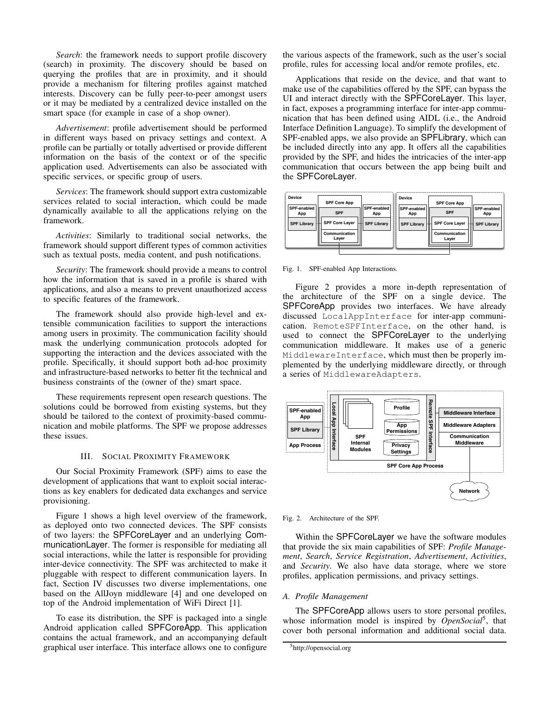*Search*: the framework needs to support profile discovery (search) in proximity. The discovery should be based on querying the profiles that are in proximity, and it should provide a mechanism for filtering profiles against matched interests. Discovery can be fully peer-to-peer amongst users or it may be mediated by a centralized device installed on the smart space (for example in case of a shop owner).

*Advertisement*: profile advertisement should be performed in different ways based on privacy settings and context. A profile can be partially or totally advertised or provide different information on the basis of the context or of the specific application used. Advertisements can also be associated with specific services, or specific group of users.

*Services*: The framework should support extra customizable services related to social interaction, which could be made dynamically available to all the applications relying on the framework.

*Activities*: Similarly to traditional social networks, the framework should support different types of common activities such as textual posts, media content, and push notifications.

*Security*: The framework should provide a means to control how the information that is saved in a profile is shared with applications, and also a means to prevent unauthorized access to specific features of the framework.

The framework should also provide high-level and extensible communication facilities to support the interactions among users in proximity. The communication facility should mask the underlying communication protocols adopted for supporting the interaction and the devices associated with the profile. Specifically, it should support both ad-hoc proximity and infrastructure-based networks to better fit the technical and business constraints of the (owner of the) smart space.

These requirements represent open research questions. The solutions could be borrowed from existing systems, but they should be tailored to the context of proximity-based communication and mobile platforms. The SPF we propose addresses these issues.

#### III. SOCIAL PROXIMITY FRAMEWORK

Our Social Proximity Framework (SPF) aims to ease the development of applications that want to exploit social interactions as key enablers for dedicated data exchanges and service provisioning.

Figure 1 shows a high level overview of the framework, as deployed onto two connected devices. The SPF consists of two layers: the SPFCoreLayer and an underlying CommunicationLayer. The former is responsible for mediating all social interactions, while the latter is responsible for providing inter-device connectivity. The SPF was architected to make it pluggable with respect to different communication layers. In fact, Section IV discusses two diverse implementations, one based on the AllJoyn middleware [4] and one developed on top of the Android implementation of WiFi Direct [1].

To ease its distribution, the SPF is packaged into a single Android application called SPFCoreApp. This application contains the actual framework, and an accompanying default graphical user interface. This interface allows one to configure the various aspects of the framework, such as the user's social profile, rules for accessing local and/or remote profiles, etc.

Applications that reside on the device, and that want to make use of the capabilities offered by the SPF, can bypass the UI and interact directly with the SPFCoreLayer. This layer, in fact, exposes a programming interface for inter-app communication that has been defined using AIDL (i.e., the Android Interface Definition Language). To simplify the development of SPF-enabled apps, we also provide an SPFLibrary, which can be included directly into any app. It offers all the capabilities provided by the SPF, and hides the intricacies of the inter-app communication that occurs between the app being built and the SPFCoreLayer.

| <b>Device</b>      | <b>SPF Core App</b>    |                    | <b>Device</b>             | <b>SPF Core App</b>        |                    |
|--------------------|------------------------|--------------------|---------------------------|----------------------------|--------------------|
| <b>SPF-enabled</b> |                        | <b>SPF-enabled</b> |                           |                            |                    |
| App                | <b>SPF</b>             | App                | <b>SPF-enabled</b><br>App | <b>SPF</b>                 | SPF-enabled<br>App |
| <b>SPF Library</b> | <b>SPF Core Layer</b>  | <b>SPF Library</b> | <b>SPF Library</b>        | <b>SPF Core Layer</b><br>╫ | <b>SPF Library</b> |
|                    | Communication<br>Laver |                    |                           | Communication<br>Laver     |                    |
|                    |                        |                    |                           |                            |                    |

Fig. 1. SPF-enabled App Interactions.

Figure 2 provides a more in-depth representation of the architecture of the SPF on a single device. The SPFCoreApp provides two interfaces. We have already discussed LocalAppInterface for inter-app communication. RemoteSPFInterface, on the other hand, is used to connect the SPFCoreLayer to the underlying communication middleware. It makes use of a generic MiddlewareInterface, which must then be properly implemented by the underlying middleware directly, or through a series of MiddlewareAdapters.



Fig. 2. Architecture of the SPF.

Within the SPFCoreLayer we have the software modules that provide the six main capabilities of SPF: *Profile Management*, *Search*, *Service Registration*, *Advertisement*, *Activities*, and *Security*. We also have data storage, where we store profiles, application permissions, and privacy settings.

# *A. Profile Management*

The SPFCoreApp allows users to store personal profiles, whose information model is inspired by *OpenSocial*<sup>5</sup>, that cover both personal information and additional social data.

<sup>5</sup>http://opensocial.org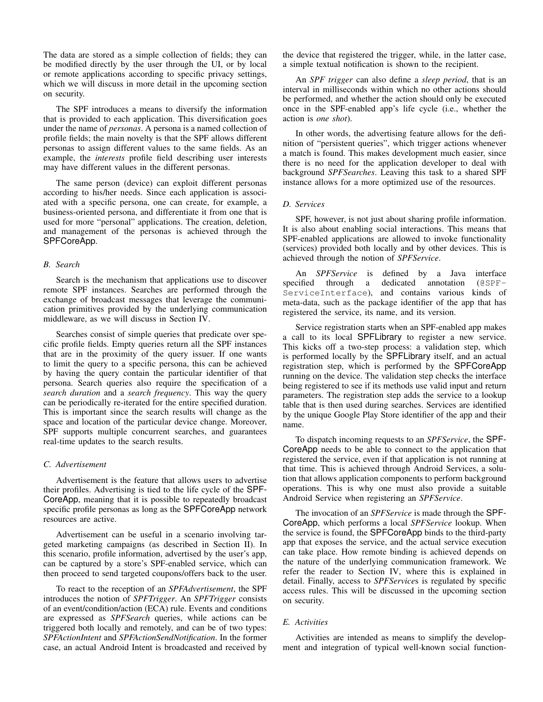The data are stored as a simple collection of fields; they can be modified directly by the user through the UI, or by local or remote applications according to specific privacy settings, which we will discuss in more detail in the upcoming section on security.

The SPF introduces a means to diversify the information that is provided to each application. This diversification goes under the name of *personas*. A persona is a named collection of profile fields; the main novelty is that the SPF allows different personas to assign different values to the same fields. As an example, the *interests* profile field describing user interests may have different values in the different personas.

The same person (device) can exploit different personas according to his/her needs. Since each application is associated with a specific persona, one can create, for example, a business-oriented persona, and differentiate it from one that is used for more "personal" applications. The creation, deletion, and management of the personas is achieved through the SPFCoreApp.

## *B. Search*

Search is the mechanism that applications use to discover remote SPF instances. Searches are performed through the exchange of broadcast messages that leverage the communication primitives provided by the underlying communication middleware, as we will discuss in Section IV.

Searches consist of simple queries that predicate over specific profile fields. Empty queries return all the SPF instances that are in the proximity of the query issuer. If one wants to limit the query to a specific persona, this can be achieved by having the query contain the particular identifier of that persona. Search queries also require the specification of a *search duration* and a *search frequency*. This way the query can be periodically re-iterated for the entire specified duration. This is important since the search results will change as the space and location of the particular device change. Moreover, SPF supports multiple concurrent searches, and guarantees real-time updates to the search results.

# *C. Advertisement*

Advertisement is the feature that allows users to advertise their profiles. Advertising is tied to the life cycle of the SPF-CoreApp, meaning that it is possible to repeatedly broadcast specific profile personas as long as the SPFCoreApp network resources are active.

Advertisement can be useful in a scenario involving targeted marketing campaigns (as described in Section II). In this scenario, profile information, advertised by the user's app, can be captured by a store's SPF-enabled service, which can then proceed to send targeted coupons/offers back to the user.

To react to the reception of an *SPFAdvertisement*, the SPF introduces the notion of *SPFTrigger*. An *SPFTrigger* consists of an event/condition/action (ECA) rule. Events and conditions are expressed as *SPFSearch* queries, while actions can be triggered both locally and remotely, and can be of two types: *SPFActionIntent* and *SPFActionSendNotification*. In the former case, an actual Android Intent is broadcasted and received by the device that registered the trigger, while, in the latter case, a simple textual notification is shown to the recipient.

An *SPF trigger* can also define a *sleep period*, that is an interval in milliseconds within which no other actions should be performed, and whether the action should only be executed once in the SPF-enabled app's life cycle (i.e., whether the action is *one shot*).

In other words, the advertising feature allows for the definition of "persistent queries", which trigger actions whenever a match is found. This makes development much easier, since there is no need for the application developer to deal with background *SPFSearches*. Leaving this task to a shared SPF instance allows for a more optimized use of the resources.

# *D. Services*

SPF, however, is not just about sharing profile information. It is also about enabling social interactions. This means that SPF-enabled applications are allowed to invoke functionality (services) provided both locally and by other devices. This is achieved through the notion of *SPFService*.

An *SPFService* is defined by a Java interface specified through a dedicated annotation (@SPF-ServiceInterface), and contains various kinds of meta-data, such as the package identifier of the app that has registered the service, its name, and its version.

Service registration starts when an SPF-enabled app makes a call to its local SPFLibrary to register a new service. This kicks off a two-step process: a validation step, which is performed locally by the SPFLibrary itself, and an actual registration step, which is performed by the SPFCoreApp running on the device. The validation step checks the interface being registered to see if its methods use valid input and return parameters. The registration step adds the service to a lookup table that is then used during searches. Services are identified by the unique Google Play Store identifier of the app and their name.

To dispatch incoming requests to an *SPFService*, the SPF-CoreApp needs to be able to connect to the application that registered the service, even if that application is not running at that time. This is achieved through Android Services, a solution that allows application components to perform background operations. This is why one must also provide a suitable Android Service when registering an *SPFService*.

The invocation of an *SPFService* is made through the SPF-CoreApp, which performs a local *SPFService* lookup. When the service is found, the SPFCoreApp binds to the third-party app that exposes the service, and the actual service execution can take place. How remote binding is achieved depends on the nature of the underlying communication framework. We refer the reader to Section IV, where this is explained in detail. Finally, access to *SPFService*s is regulated by specific access rules. This will be discussed in the upcoming section on security.

# *E. Activities*

Activities are intended as means to simplify the development and integration of typical well-known social function-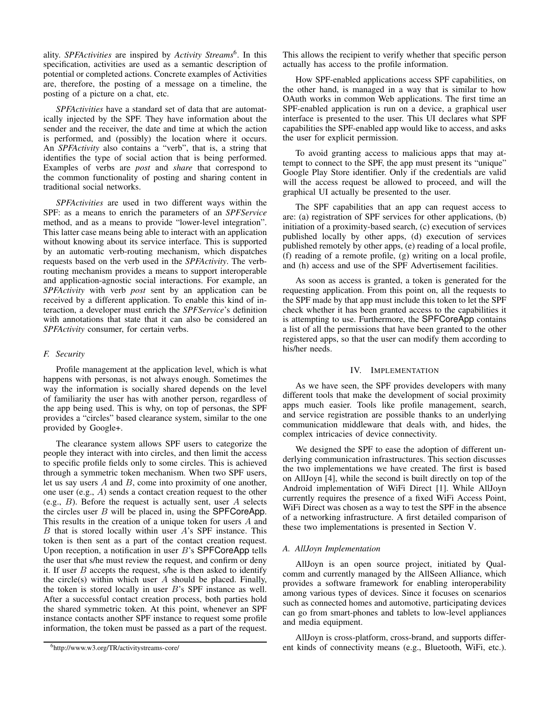ality. *SPFActivities* are inspired by *Activity Streams*<sup>6</sup> . In this specification, activities are used as a semantic description of potential or completed actions. Concrete examples of Activities are, therefore, the posting of a message on a timeline, the posting of a picture on a chat, etc.

*SPFActivities* have a standard set of data that are automatically injected by the SPF. They have information about the sender and the receiver, the date and time at which the action is performed, and (possibly) the location where it occurs. An *SPFActivity* also contains a "verb", that is, a string that identifies the type of social action that is being performed. Examples of verbs are *post* and *share* that correspond to the common functionality of posting and sharing content in traditional social networks.

*SPFActivities* are used in two different ways within the SPF: as a means to enrich the parameters of an *SPFService* method, and as a means to provide "lower-level integration". This latter case means being able to interact with an application without knowing about its service interface. This is supported by an automatic verb-routing mechanism, which dispatches requests based on the verb used in the *SPFActivity*. The verbrouting mechanism provides a means to support interoperable and application-agnostic social interactions. For example, an *SPFActivity* with verb *post* sent by an application can be received by a different application. To enable this kind of interaction, a developer must enrich the *SPFService*'s definition with annotations that state that it can also be considered an *SPFActivity* consumer, for certain verbs.

# *F. Security*

Profile management at the application level, which is what happens with personas, is not always enough. Sometimes the way the information is socially shared depends on the level of familiarity the user has with another person, regardless of the app being used. This is why, on top of personas, the SPF provides a "circles" based clearance system, similar to the one provided by Google+.

The clearance system allows SPF users to categorize the people they interact with into circles, and then limit the access to specific profile fields only to some circles. This is achieved through a symmetric token mechanism. When two SPF users, let us say users  $A$  and  $B$ , come into proximity of one another, one user (e.g., A) sends a contact creation request to the other (e.g.,  $B$ ). Before the request is actually sent, user  $A$  selects the circles user  $B$  will be placed in, using the SPFCoreApp. This results in the creation of a unique token for users A and  $B$  that is stored locally within user  $A$ 's SPF instance. This token is then sent as a part of the contact creation request. Upon reception, a notification in user  $B$ 's SPFCoreApp tells the user that s/he must review the request, and confirm or deny it. If user  $B$  accepts the request, s/he is then asked to identify the circle(s) within which user  $A$  should be placed. Finally, the token is stored locally in user B's SPF instance as well. After a successful contact creation process, both parties hold the shared symmetric token. At this point, whenever an SPF instance contacts another SPF instance to request some profile information, the token must be passed as a part of the request. This allows the recipient to verify whether that specific person actually has access to the profile information.

How SPF-enabled applications access SPF capabilities, on the other hand, is managed in a way that is similar to how OAuth works in common Web applications. The first time an SPF-enabled application is run on a device, a graphical user interface is presented to the user. This UI declares what SPF capabilities the SPF-enabled app would like to access, and asks the user for explicit permission.

To avoid granting access to malicious apps that may attempt to connect to the SPF, the app must present its "unique" Google Play Store identifier. Only if the credentials are valid will the access request be allowed to proceed, and will the graphical UI actually be presented to the user.

The SPF capabilities that an app can request access to are: (a) registration of SPF services for other applications, (b) initiation of a proximity-based search, (c) execution of services published locally by other apps, (d) execution of services published remotely by other apps, (e) reading of a local profile, (f) reading of a remote profile, (g) writing on a local profile, and (h) access and use of the SPF Advertisement facilities.

As soon as access is granted, a token is generated for the requesting application. From this point on, all the requests to the SPF made by that app must include this token to let the SPF check whether it has been granted access to the capabilities it is attempting to use. Furthermore, the SPFCoreApp contains a list of all the permissions that have been granted to the other registered apps, so that the user can modify them according to his/her needs.

## IV. IMPLEMENTATION

As we have seen, the SPF provides developers with many different tools that make the development of social proximity apps much easier. Tools like profile management, search, and service registration are possible thanks to an underlying communication middleware that deals with, and hides, the complex intricacies of device connectivity.

We designed the SPF to ease the adoption of different underlying communication infrastructures. This section discusses the two implementations we have created. The first is based on AllJoyn [4], while the second is built directly on top of the Android implementation of WiFi Direct [1]. While AllJoyn currently requires the presence of a fixed WiFi Access Point, WiFi Direct was chosen as a way to test the SPF in the absence of a networking infrastructure. A first detailed comparison of these two implementations is presented in Section V.

#### *A. AllJoyn Implementation*

AllJoyn is an open source project, initiated by Qualcomm and currently managed by the AllSeen Alliance, which provides a software framework for enabling interoperability among various types of devices. Since it focuses on scenarios such as connected homes and automotive, participating devices can go from smart-phones and tablets to low-level appliances and media equipment.

AllJoyn is cross-platform, cross-brand, and supports different kinds of connectivity means (e.g., Bluetooth, WiFi, etc.).

<sup>6</sup>http://www.w3.org/TR/activitystreams-core/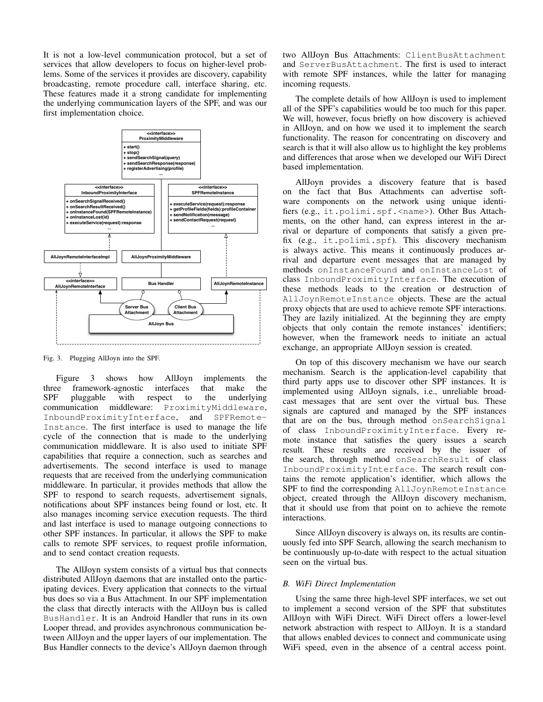It is not a low-level communication protocol, but a set of services that allow developers to focus on higher-level problems. Some of the services it provides are discovery, capability broadcasting, remote procedure call, interface sharing, etc. These features made it a strong candidate for implementing the underlying communication layers of the SPF, and was our first implementation choice.



Fig. 3. Plugging AllJoyn into the SPF.

Figure 3 shows how AllJoyn implements the three framework-agnostic interfaces that make the SPF pluggable with respect to the underlying communication middleware: ProximityMiddleware, InboundProximityInterface, and SPFRemote-Instance. The first interface is used to manage the life cycle of the connection that is made to the underlying communication middleware. It is also used to initiate SPF capabilities that require a connection, such as searches and advertisements. The second interface is used to manage requests that are received from the underlying communication middleware. In particular, it provides methods that allow the SPF to respond to search requests, advertisement signals, notifications about SPF instances being found or lost, etc. It also manages incoming service execution requests. The third and last interface is used to manage outgoing connections to other SPF instances. In particular, it allows the SPF to make calls to remote SPF services, to request profile information, and to send contact creation requests.

The AllJoyn system consists of a virtual bus that connects distributed AllJoyn daemons that are installed onto the participating devices. Every application that connects to the virtual bus does so via a Bus Attachment. In our SPF implementation the class that directly interacts with the AllJoyn bus is called BusHandler. It is an Android Handler that runs in its own Looper thread, and provides asynchronous communication between AllJoyn and the upper layers of our implementation. The Bus Handler connects to the device's AllJoyn daemon through two AllJoyn Bus Attachments: ClientBusAttachment and ServerBusAttachment. The first is used to interact with remote SPF instances, while the latter for managing incoming requests.

The complete details of how AllJoyn is used to implement all of the SPF's capabilities would be too much for this paper. We will, however, focus briefly on how discovery is achieved in AllJoyn, and on how we used it to implement the search functionality. The reason for concentrating on discovery and search is that it will also allow us to highlight the key problems and differences that arose when we developed our WiFi Direct based implementation.

AllJoyn provides a discovery feature that is based on the fact that Bus Attachments can advertise software components on the network using unique identifiers (e.g., it.polimi.spf.<name>). Other Bus Attachments, on the other hand, can express interest in the arrival or departure of components that satisfy a given prefix (e.g., it.polimi.spf). This discovery mechanism is always active. This means it continuously produces arrival and departure event messages that are managed by methods onInstanceFound and onInstanceLost of class InboundProximityInterface. The execution of these methods leads to the creation or destruction of AllJoynRemoteInstance objects. These are the actual proxy objects that are used to achieve remote SPF interactions. They are lazily initialized. At the beginning they are empty objects that only contain the remote instances' identifiers; however, when the framework needs to initiate an actual exchange, an appropriate AllJoyn session is created.

On top of this discovery mechanism we have our search mechanism. Search is the application-level capability that third party apps use to discover other SPF instances. It is implemented using AllJoyn signals, i.e., unreliable broadcast messages that are sent over the virtual bus. These signals are captured and managed by the SPF instances that are on the bus, through method onSearchSignal of class InboundProximityInterface. Every remote instance that satisfies the query issues a search result. These results are received by the issuer of the search, through method onSearchResult of class InboundProximityInterface. The search result contains the remote application's identifier, which allows the SPF to find the corresponding AllJoynRemoteInstance object, created through the AllJoyn discovery mechanism, that it should use from that point on to achieve the remote interactions.

Since AllJoyn discovery is always on, its results are continuously fed into SPF Search, allowing the search mechanism to be continuously up-to-date with respect to the actual situation seen on the virtual bus.

## *B. WiFi Direct Implementation*

Using the same three high-level SPF interfaces, we set out to implement a second version of the SPF that substitutes AllJoyn with WiFi Direct. WiFi Direct offers a lower-level network abstraction with respect to AllJoyn. It is a standard that allows enabled devices to connect and communicate using WiFi speed, even in the absence of a central access point.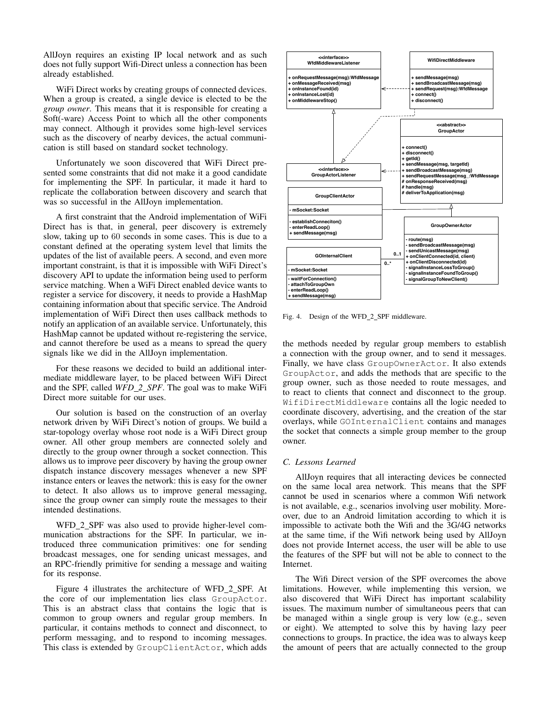AllJoyn requires an existing IP local network and as such does not fully support Wifi-Direct unless a connection has been already established.

WiFi Direct works by creating groups of connected devices. When a group is created, a single device is elected to be the *group owner*. This means that it is responsible for creating a Soft(-ware) Access Point to which all the other components may connect. Although it provides some high-level services such as the discovery of nearby devices, the actual communication is still based on standard socket technology.

Unfortunately we soon discovered that WiFi Direct presented some constraints that did not make it a good candidate for implementing the SPF. In particular, it made it hard to replicate the collaboration between discovery and search that was so successful in the AllJoyn implementation.

A first constraint that the Android implementation of WiFi Direct has is that, in general, peer discovery is extremely slow, taking up to 60 seconds in some cases. This is due to a constant defined at the operating system level that limits the updates of the list of available peers. A second, and even more important constraint, is that it is impossible with WiFi Direct's discovery API to update the information being used to perform service matching. When a WiFi Direct enabled device wants to register a service for discovery, it needs to provide a HashMap containing information about that specific service. The Android implementation of WiFi Direct then uses callback methods to notify an application of an available service. Unfortunately, this HashMap cannot be updated without re-registering the service, and cannot therefore be used as a means to spread the query signals like we did in the AllJoyn implementation.

For these reasons we decided to build an additional intermediate middleware layer, to be placed between WiFi Direct and the SPF, called *WFD 2 SPF*. The goal was to make WiFi Direct more suitable for our uses.

Our solution is based on the construction of an overlay network driven by WiFi Direct's notion of groups. We build a star-topology overlay whose root node is a WiFi Direct group owner. All other group members are connected solely and directly to the group owner through a socket connection. This allows us to improve peer discovery by having the group owner dispatch instance discovery messages whenever a new SPF instance enters or leaves the network: this is easy for the owner to detect. It also allows us to improve general messaging, since the group owner can simply route the messages to their intended destinations.

WFD\_2\_SPF was also used to provide higher-level communication abstractions for the SPF. In particular, we introduced three communication primitives: one for sending broadcast messages, one for sending unicast messages, and an RPC-friendly primitive for sending a message and waiting for its response.

Figure 4 illustrates the architecture of WFD 2 SPF. At the core of our implementation lies class GroupActor. This is an abstract class that contains the logic that is common to group owners and regular group members. In particular, it contains methods to connect and disconnect, to perform messaging, and to respond to incoming messages. This class is extended by GroupClientActor, which adds



Fig. 4. Design of the WFD\_2\_SPF middleware.

the methods needed by regular group members to establish a connection with the group owner, and to send it messages. Finally, we have class GroupOwnerActor. It also extends GroupActor, and adds the methods that are specific to the group owner, such as those needed to route messages, and to react to clients that connect and disconnect to the group. WifiDirectMiddleware contains all the logic needed to coordinate discovery, advertising, and the creation of the star overlays, while GOInternalClient contains and manages the socket that connects a simple group member to the group owner.

# *C. Lessons Learned*

AllJoyn requires that all interacting devices be connected on the same local area network. This means that the SPF cannot be used in scenarios where a common Wifi network is not available, e.g., scenarios involving user mobility. Moreover, due to an Android limitation according to which it is impossible to activate both the Wifi and the 3G/4G networks at the same time, if the Wifi network being used by AllJoyn does not provide Internet access, the user will be able to use the features of the SPF but will not be able to connect to the Internet.

The Wifi Direct version of the SPF overcomes the above limitations. However, while implementing this version, we also discovered that WiFi Direct has important scalability issues. The maximum number of simultaneous peers that can be managed within a single group is very low (e.g., seven or eight). We attempted to solve this by having lazy peer connections to groups. In practice, the idea was to always keep the amount of peers that are actually connected to the group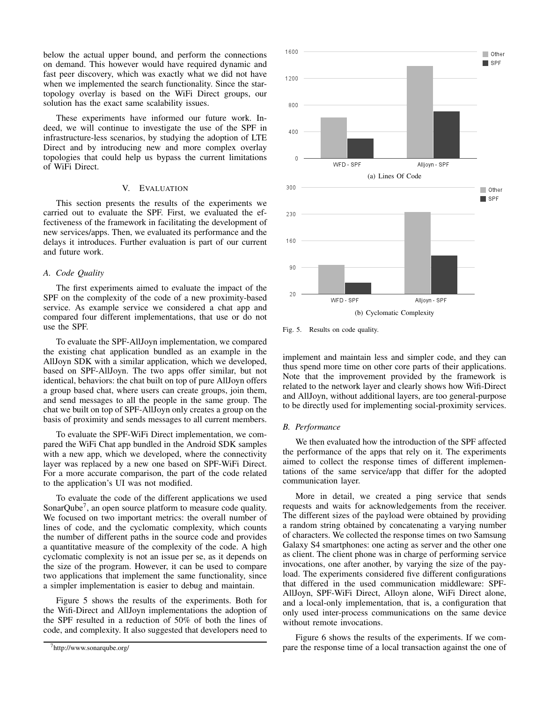below the actual upper bound, and perform the connections on demand. This however would have required dynamic and fast peer discovery, which was exactly what we did not have when we implemented the search functionality. Since the startopology overlay is based on the WiFi Direct groups, our solution has the exact same scalability issues.

These experiments have informed our future work. Indeed, we will continue to investigate the use of the SPF in infrastructure-less scenarios, by studying the adoption of LTE Direct and by introducing new and more complex overlay topologies that could help us bypass the current limitations of WiFi Direct.

#### V. EVALUATION

This section presents the results of the experiments we carried out to evaluate the SPF. First, we evaluated the effectiveness of the framework in facilitating the development of new services/apps. Then, we evaluated its performance and the delays it introduces. Further evaluation is part of our current and future work.

#### *A. Code Quality*

The first experiments aimed to evaluate the impact of the SPF on the complexity of the code of a new proximity-based service. As example service we considered a chat app and compared four different implementations, that use or do not use the SPF.

To evaluate the SPF-AllJoyn implementation, we compared the existing chat application bundled as an example in the AllJoyn SDK with a similar application, which we developed, based on SPF-AllJoyn. The two apps offer similar, but not identical, behaviors: the chat built on top of pure AllJoyn offers a group based chat, where users can create groups, join them, and send messages to all the people in the same group. The chat we built on top of SPF-AllJoyn only creates a group on the basis of proximity and sends messages to all current members.

To evaluate the SPF-WiFi Direct implementation, we compared the WiFi Chat app bundled in the Android SDK samples with a new app, which we developed, where the connectivity layer was replaced by a new one based on SPF-WiFi Direct. For a more accurate comparison, the part of the code related to the application's UI was not modified.

To evaluate the code of the different applications we used SonarQube<sup>7</sup>, an open source platform to measure code quality. We focused on two important metrics: the overall number of lines of code, and the cyclomatic complexity, which counts the number of different paths in the source code and provides a quantitative measure of the complexity of the code. A high cyclomatic complexity is not an issue per se, as it depends on the size of the program. However, it can be used to compare two applications that implement the same functionality, since a simpler implementation is easier to debug and maintain.

Figure 5 shows the results of the experiments. Both for the Wifi-Direct and AllJoyn implementations the adoption of the SPF resulted in a reduction of 50% of both the lines of code, and complexity. It also suggested that developers need to



Fig. 5. Results on code quality.

implement and maintain less and simpler code, and they can thus spend more time on other core parts of their applications. Note that the improvement provided by the framework is related to the network layer and clearly shows how Wifi-Direct and AllJoyn, without additional layers, are too general-purpose to be directly used for implementing social-proximity services.

### *B. Performance*

We then evaluated how the introduction of the SPF affected the performance of the apps that rely on it. The experiments aimed to collect the response times of different implementations of the same service/app that differ for the adopted communication layer.

More in detail, we created a ping service that sends requests and waits for acknowledgements from the receiver. The different sizes of the payload were obtained by providing a random string obtained by concatenating a varying number of characters. We collected the response times on two Samsung Galaxy S4 smartphones: one acting as server and the other one as client. The client phone was in charge of performing service invocations, one after another, by varying the size of the payload. The experiments considered five different configurations that differed in the used communication middleware: SPF-AllJoyn, SPF-WiFi Direct, Alloyn alone, WiFi Direct alone, and a local-only implementation, that is, a configuration that only used inter-process communications on the same device without remote invocations.

Figure 6 shows the results of the experiments. If we compare the response time of a local transaction against the one of

<sup>7</sup>http://www.sonarqube.org/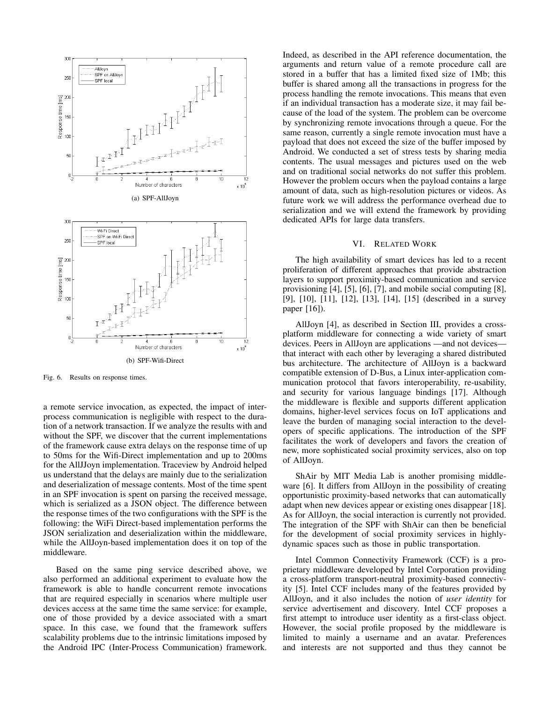

Fig. 6. Results on response times.

a remote service invocation, as expected, the impact of interprocess communication is negligible with respect to the duration of a network transaction. If we analyze the results with and without the SPF, we discover that the current implementations of the framework cause extra delays on the response time of up to 50ms for the Wifi-Direct implementation and up to 200ms for the AllJJoyn implementation. Traceview by Android helped us understand that the delays are mainly due to the serialization and deserialization of message contents. Most of the time spent in an SPF invocation is spent on parsing the received message, which is serialized as a JSON object. The difference between the response times of the two configurations with the SPF is the following: the WiFi Direct-based implementation performs the JSON serialization and deserialization within the middleware, while the AllJoyn-based implementation does it on top of the middleware.

Based on the same ping service described above, we also performed an additional experiment to evaluate how the framework is able to handle concurrent remote invocations that are required especially in scenarios where multiple user devices access at the same time the same service: for example, one of those provided by a device associated with a smart space. In this case, we found that the framework suffers scalability problems due to the intrinsic limitations imposed by the Android IPC (Inter-Process Communication) framework.

Indeed, as described in the API reference documentation, the arguments and return value of a remote procedure call are stored in a buffer that has a limited fixed size of 1Mb; this buffer is shared among all the transactions in progress for the process handling the remote invocations. This means that even if an individual transaction has a moderate size, it may fail because of the load of the system. The problem can be overcome by synchronizing remote invocations through a queue. For the same reason, currently a single remote invocation must have a payload that does not exceed the size of the buffer imposed by Android. We conducted a set of stress tests by sharing media contents. The usual messages and pictures used on the web and on traditional social networks do not suffer this problem. However the problem occurs when the payload contains a large amount of data, such as high-resolution pictures or videos. As future work we will address the performance overhead due to serialization and we will extend the framework by providing dedicated APIs for large data transfers.

## VI. RELATED WORK

The high availability of smart devices has led to a recent proliferation of different approaches that provide abstraction layers to support proximity-based communication and service provisioning [4], [5], [6], [7], and mobile social computing [8], [9], [10], [11], [12], [13], [14], [15] (described in a survey paper [16]).

AllJoyn [4], as described in Section III, provides a crossplatform middleware for connecting a wide variety of smart devices. Peers in AllJoyn are applications —and not devices that interact with each other by leveraging a shared distributed bus architecture. The architecture of AllJoyn is a backward compatible extension of D-Bus, a Linux inter-application communication protocol that favors interoperability, re-usability, and security for various language bindings [17]. Although the middleware is flexible and supports different application domains, higher-level services focus on IoT applications and leave the burden of managing social interaction to the developers of specific applications. The introduction of the SPF facilitates the work of developers and favors the creation of new, more sophisticated social proximity services, also on top of AllJoyn.

ShAir by MIT Media Lab is another promising middleware [6]. It differs from AllJoyn in the possibility of creating opportunistic proximity-based networks that can automatically adapt when new devices appear or existing ones disappear [18]. As for AllJoyn, the social interaction is currently not provided. The integration of the SPF with ShAir can then be beneficial for the development of social proximity services in highlydynamic spaces such as those in public transportation.

Intel Common Connectivity Framework (CCF) is a proprietary middleware developed by Intel Corporation providing a cross-platform transport-neutral proximity-based connectivity [5]. Intel CCF includes many of the features provided by AllJoyn, and it also includes the notion of *user identity* for service advertisement and discovery. Intel CCF proposes a first attempt to introduce user identity as a first-class object. However, the social profile proposed by the middleware is limited to mainly a username and an avatar. Preferences and interests are not supported and thus they cannot be